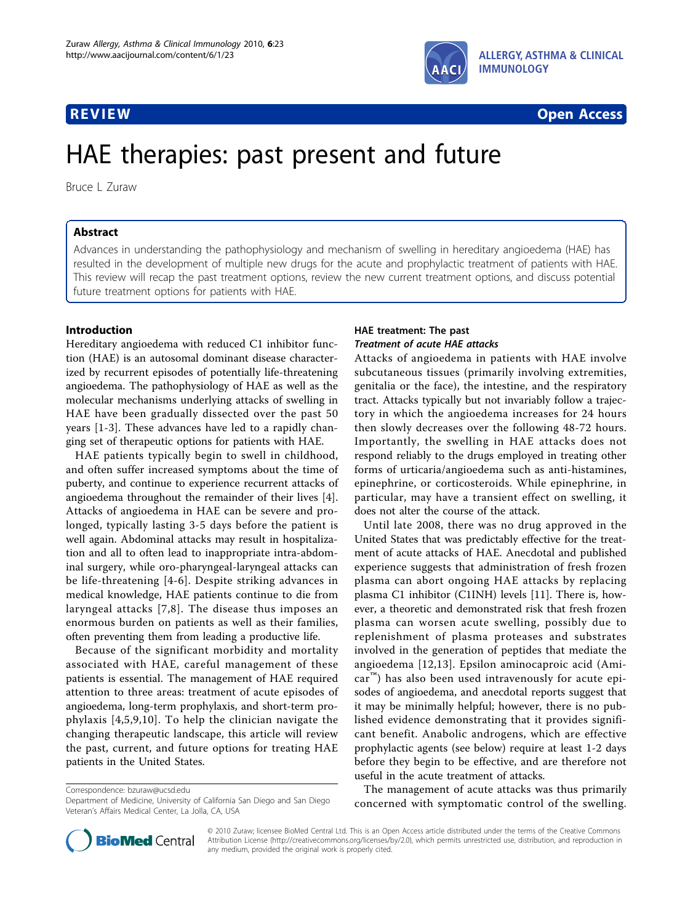

# **REVIEW CONSTRUCTION CONSTRUCTION CONSTRUCTS**

# HAE therapies: past present and future

Bruce L Zuraw

### Abstract

Advances in understanding the pathophysiology and mechanism of swelling in hereditary angioedema (HAE) has resulted in the development of multiple new drugs for the acute and prophylactic treatment of patients with HAE. This review will recap the past treatment options, review the new current treatment options, and discuss potential future treatment options for patients with HAE.

### Introduction

Hereditary angioedema with reduced C1 inhibitor function (HAE) is an autosomal dominant disease characterized by recurrent episodes of potentially life-threatening angioedema. The pathophysiology of HAE as well as the molecular mechanisms underlying attacks of swelling in HAE have been gradually dissected over the past 50 years [[1-3](#page-6-0)]. These advances have led to a rapidly changing set of therapeutic options for patients with HAE.

HAE patients typically begin to swell in childhood, and often suffer increased symptoms about the time of puberty, and continue to experience recurrent attacks of angioedema throughout the remainder of their lives [\[4](#page-6-0)]. Attacks of angioedema in HAE can be severe and prolonged, typically lasting 3-5 days before the patient is well again. Abdominal attacks may result in hospitalization and all to often lead to inappropriate intra-abdominal surgery, while oro-pharyngeal-laryngeal attacks can be life-threatening [[4](#page-6-0)-[6](#page-6-0)]. Despite striking advances in medical knowledge, HAE patients continue to die from laryngeal attacks [[7](#page-6-0),[8\]](#page-6-0). The disease thus imposes an enormous burden on patients as well as their families, often preventing them from leading a productive life.

Because of the significant morbidity and mortality associated with HAE, careful management of these patients is essential. The management of HAE required attention to three areas: treatment of acute episodes of angioedema, long-term prophylaxis, and short-term prophylaxis [[4](#page-6-0),[5,9,10](#page-6-0)]. To help the clinician navigate the changing therapeutic landscape, this article will review the past, current, and future options for treating HAE patients in the United States.

Correspondence: [bzuraw@ucsd.edu](mailto:bzuraw@ucsd.edu)

Department of Medicine, University of California San Diego and San Diego Veteran's Affairs Medical Center, La Jolla, CA, USA

# Treatment of acute HAE attacks

Attacks of angioedema in patients with HAE involve subcutaneous tissues (primarily involving extremities, genitalia or the face), the intestine, and the respiratory tract. Attacks typically but not invariably follow a trajectory in which the angioedema increases for 24 hours then slowly decreases over the following 48-72 hours. Importantly, the swelling in HAE attacks does not respond reliably to the drugs employed in treating other forms of urticaria/angioedema such as anti-histamines, epinephrine, or corticosteroids. While epinephrine, in particular, may have a transient effect on swelling, it does not alter the course of the attack.

Until late 2008, there was no drug approved in the United States that was predictably effective for the treatment of acute attacks of HAE. Anecdotal and published experience suggests that administration of fresh frozen plasma can abort ongoing HAE attacks by replacing plasma C1 inhibitor (C1INH) levels [\[11](#page-6-0)]. There is, however, a theoretic and demonstrated risk that fresh frozen plasma can worsen acute swelling, possibly due to replenishment of plasma proteases and substrates involved in the generation of peptides that mediate the angioedema [[12,13\]](#page-6-0). Epsilon aminocaproic acid (Amicar™) has also been used intravenously for acute episodes of angioedema, and anecdotal reports suggest that it may be minimally helpful; however, there is no published evidence demonstrating that it provides significant benefit. Anabolic androgens, which are effective prophylactic agents (see below) require at least 1-2 days before they begin to be effective, and are therefore not useful in the acute treatment of attacks.

The management of acute attacks was thus primarily concerned with symptomatic control of the swelling.



© 2010 Zuraw; licensee BioMed Central Ltd. This is an Open Access article distributed under the terms of the Creative Commons Attribution License [\(http://creativecommons.org/licenses/by/2.0](http://creativecommons.org/licenses/by/2.0)), which permits unrestricted use, distribution, and reproduction in any medium, provided the original work is properly cited.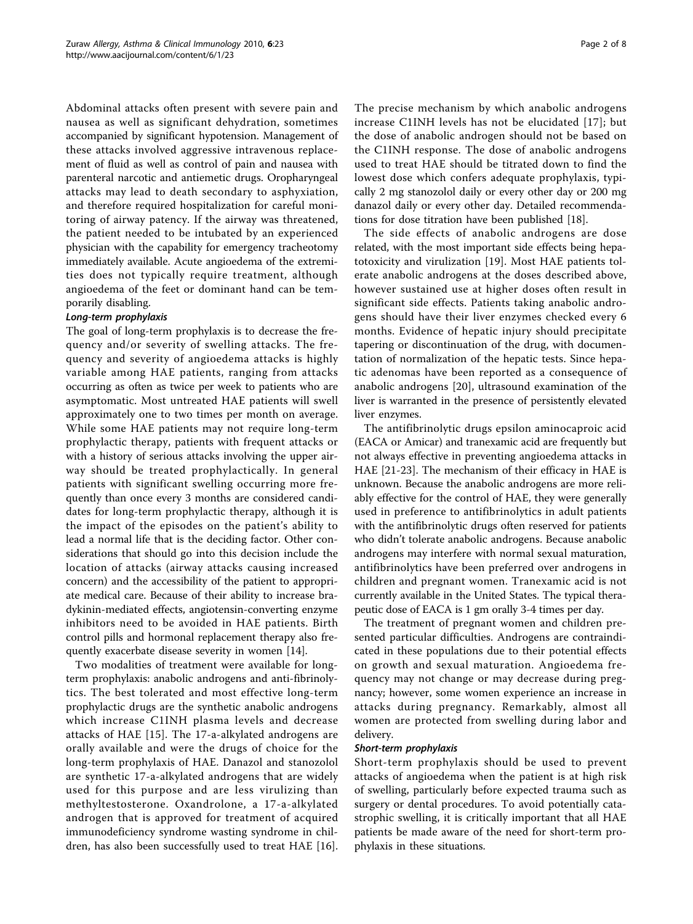Abdominal attacks often present with severe pain and nausea as well as significant dehydration, sometimes accompanied by significant hypotension. Management of these attacks involved aggressive intravenous replacement of fluid as well as control of pain and nausea with parenteral narcotic and antiemetic drugs. Oropharyngeal attacks may lead to death secondary to asphyxiation, and therefore required hospitalization for careful monitoring of airway patency. If the airway was threatened, the patient needed to be intubated by an experienced physician with the capability for emergency tracheotomy immediately available. Acute angioedema of the extremities does not typically require treatment, although angioedema of the feet or dominant hand can be temporarily disabling.

#### Long-term prophylaxis

The goal of long-term prophylaxis is to decrease the frequency and/or severity of swelling attacks. The frequency and severity of angioedema attacks is highly variable among HAE patients, ranging from attacks occurring as often as twice per week to patients who are asymptomatic. Most untreated HAE patients will swell approximately one to two times per month on average. While some HAE patients may not require long-term prophylactic therapy, patients with frequent attacks or with a history of serious attacks involving the upper airway should be treated prophylactically. In general patients with significant swelling occurring more frequently than once every 3 months are considered candidates for long-term prophylactic therapy, although it is the impact of the episodes on the patient's ability to lead a normal life that is the deciding factor. Other considerations that should go into this decision include the location of attacks (airway attacks causing increased concern) and the accessibility of the patient to appropriate medical care. Because of their ability to increase bradykinin-mediated effects, angiotensin-converting enzyme inhibitors need to be avoided in HAE patients. Birth control pills and hormonal replacement therapy also frequently exacerbate disease severity in women [\[14](#page-6-0)].

Two modalities of treatment were available for longterm prophylaxis: anabolic androgens and anti-fibrinolytics. The best tolerated and most effective long-term prophylactic drugs are the synthetic anabolic androgens which increase C1INH plasma levels and decrease attacks of HAE [\[15\]](#page-6-0). The 17-a-alkylated androgens are orally available and were the drugs of choice for the long-term prophylaxis of HAE. Danazol and stanozolol are synthetic 17-a-alkylated androgens that are widely used for this purpose and are less virulizing than methyltestosterone. Oxandrolone, a 17-a-alkylated androgen that is approved for treatment of acquired immunodeficiency syndrome wasting syndrome in children, has also been successfully used to treat HAE [\[16](#page-6-0)]. The precise mechanism by which anabolic androgens increase C1INH levels has not be elucidated [[17](#page-6-0)]; but the dose of anabolic androgen should not be based on the C1INH response. The dose of anabolic androgens used to treat HAE should be titrated down to find the lowest dose which confers adequate prophylaxis, typically 2 mg stanozolol daily or every other day or 200 mg danazol daily or every other day. Detailed recommendations for dose titration have been published [[18](#page-6-0)].

The side effects of anabolic androgens are dose related, with the most important side effects being hepatotoxicity and virulization [\[19](#page-6-0)]. Most HAE patients tolerate anabolic androgens at the doses described above, however sustained use at higher doses often result in significant side effects. Patients taking anabolic androgens should have their liver enzymes checked every 6 months. Evidence of hepatic injury should precipitate tapering or discontinuation of the drug, with documentation of normalization of the hepatic tests. Since hepatic adenomas have been reported as a consequence of anabolic androgens [\[20](#page-6-0)], ultrasound examination of the liver is warranted in the presence of persistently elevated liver enzymes.

The antifibrinolytic drugs epsilon aminocaproic acid (EACA or Amicar) and tranexamic acid are frequently but not always effective in preventing angioedema attacks in HAE [[21-23](#page-6-0)]. The mechanism of their efficacy in HAE is unknown. Because the anabolic androgens are more reliably effective for the control of HAE, they were generally used in preference to antifibrinolytics in adult patients with the antifibrinolytic drugs often reserved for patients who didn't tolerate anabolic androgens. Because anabolic androgens may interfere with normal sexual maturation, antifibrinolytics have been preferred over androgens in children and pregnant women. Tranexamic acid is not currently available in the United States. The typical therapeutic dose of EACA is 1 gm orally 3-4 times per day.

The treatment of pregnant women and children presented particular difficulties. Androgens are contraindicated in these populations due to their potential effects on growth and sexual maturation. Angioedema frequency may not change or may decrease during pregnancy; however, some women experience an increase in attacks during pregnancy. Remarkably, almost all women are protected from swelling during labor and delivery.

#### Short-term prophylaxis

Short-term prophylaxis should be used to prevent attacks of angioedema when the patient is at high risk of swelling, particularly before expected trauma such as surgery or dental procedures. To avoid potentially catastrophic swelling, it is critically important that all HAE patients be made aware of the need for short-term prophylaxis in these situations.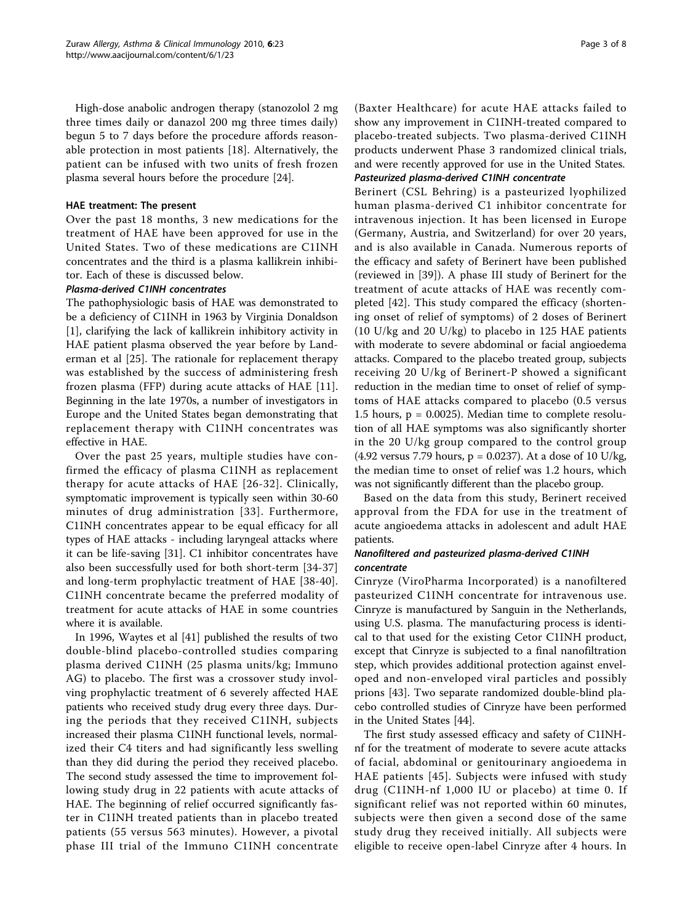High-dose anabolic androgen therapy (stanozolol 2 mg three times daily or danazol 200 mg three times daily) begun 5 to 7 days before the procedure affords reasonable protection in most patients [\[18](#page-6-0)]. Alternatively, the patient can be infused with two units of fresh frozen plasma several hours before the procedure [[24\]](#page-6-0).

Over the past 18 months, 3 new medications for the treatment of HAE have been approved for use in the United States. Two of these medications are C1INH concentrates and the third is a plasma kallikrein inhibitor. Each of these is discussed below.

#### Plasma-derived C1INH concentrates

The pathophysiologic basis of HAE was demonstrated to be a deficiency of C1INH in 1963 by Virginia Donaldson [[1\]](#page-6-0), clarifying the lack of kallikrein inhibitory activity in HAE patient plasma observed the year before by Landerman et al [\[25](#page-6-0)]. The rationale for replacement therapy was established by the success of administering fresh frozen plasma (FFP) during acute attacks of HAE [[11](#page-6-0)]. Beginning in the late 1970s, a number of investigators in Europe and the United States began demonstrating that replacement therapy with C1INH concentrates was effective in HAE.

Over the past 25 years, multiple studies have confirmed the efficacy of plasma C1INH as replacement therapy for acute attacks of HAE [[26-32\]](#page-6-0). Clinically, symptomatic improvement is typically seen within 30-60 minutes of drug administration [[33\]](#page-6-0). Furthermore, C1INH concentrates appear to be equal efficacy for all types of HAE attacks - including laryngeal attacks where it can be life-saving [\[31](#page-6-0)]. C1 inhibitor concentrates have also been successfully used for both short-term [[34-37](#page-6-0)] and long-term prophylactic treatment of HAE [[38](#page-6-0)-[40](#page-6-0)]. C1INH concentrate became the preferred modality of treatment for acute attacks of HAE in some countries where it is available.

In 1996, Waytes et al [\[41\]](#page-6-0) published the results of two double-blind placebo-controlled studies comparing plasma derived C1INH (25 plasma units/kg; Immuno AG) to placebo. The first was a crossover study involving prophylactic treatment of 6 severely affected HAE patients who received study drug every three days. During the periods that they received C1INH, subjects increased their plasma C1INH functional levels, normalized their C4 titers and had significantly less swelling than they did during the period they received placebo. The second study assessed the time to improvement following study drug in 22 patients with acute attacks of HAE. The beginning of relief occurred significantly faster in C1INH treated patients than in placebo treated patients (55 versus 563 minutes). However, a pivotal phase III trial of the Immuno C1INH concentrate

(Baxter Healthcare) for acute HAE attacks failed to show any improvement in C1INH-treated compared to placebo-treated subjects. Two plasma-derived C1INH products underwent Phase 3 randomized clinical trials, and were recently approved for use in the United States. Pasteurized plasma-derived C1INH concentrate

## Berinert (CSL Behring) is a pasteurized lyophilized human plasma-derived C1 inhibitor concentrate for intravenous injection. It has been licensed in Europe (Germany, Austria, and Switzerland) for over 20 years, and is also available in Canada. Numerous reports of the efficacy and safety of Berinert have been published (reviewed in [[39\]](#page-6-0)). A phase III study of Berinert for the treatment of acute attacks of HAE was recently completed [[42](#page-7-0)]. This study compared the efficacy (shortening onset of relief of symptoms) of 2 doses of Berinert (10 U/kg and 20 U/kg) to placebo in 125 HAE patients with moderate to severe abdominal or facial angioedema attacks. Compared to the placebo treated group, subjects receiving 20 U/kg of Berinert-P showed a significant reduction in the median time to onset of relief of symptoms of HAE attacks compared to placebo (0.5 versus 1.5 hours,  $p = 0.0025$ . Median time to complete resolution of all HAE symptoms was also significantly shorter in the 20 U/kg group compared to the control group (4.92 versus 7.79 hours,  $p = 0.0237$ ). At a dose of 10 U/kg, the median time to onset of relief was 1.2 hours, which

was not significantly different than the placebo group. Based on the data from this study, Berinert received approval from the FDA for use in the treatment of acute angioedema attacks in adolescent and adult HAE patients.

### Nanofiltered and pasteurized plasma-derived C1INH concentrate

Cinryze (ViroPharma Incorporated) is a nanofiltered pasteurized C1INH concentrate for intravenous use. Cinryze is manufactured by Sanguin in the Netherlands, using U.S. plasma. The manufacturing process is identical to that used for the existing Cetor C1INH product, except that Cinryze is subjected to a final nanofiltration step, which provides additional protection against enveloped and non-enveloped viral particles and possibly prions [\[43](#page-7-0)]. Two separate randomized double-blind placebo controlled studies of Cinryze have been performed in the United States [\[44\]](#page-7-0).

The first study assessed efficacy and safety of C1INHnf for the treatment of moderate to severe acute attacks of facial, abdominal or genitourinary angioedema in HAE patients [[45](#page-7-0)]. Subjects were infused with study drug (C1INH-nf 1,000 IU or placebo) at time 0. If significant relief was not reported within 60 minutes, subjects were then given a second dose of the same study drug they received initially. All subjects were eligible to receive open-label Cinryze after 4 hours. In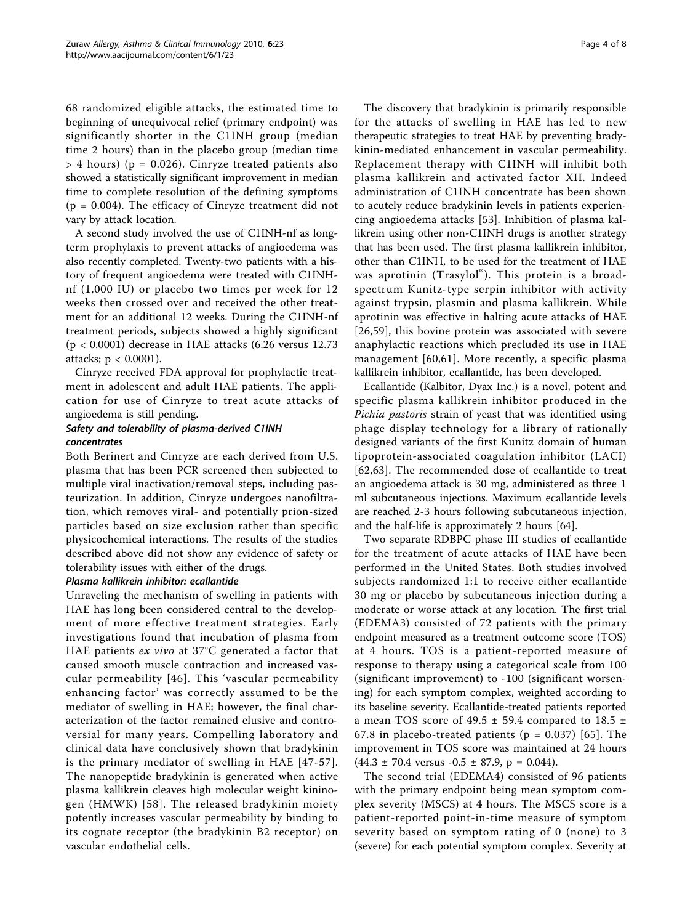68 randomized eligible attacks, the estimated time to beginning of unequivocal relief (primary endpoint) was significantly shorter in the C1INH group (median time 2 hours) than in the placebo group (median time  $>$  4 hours) (p = 0.026). Cinryze treated patients also showed a statistically significant improvement in median time to complete resolution of the defining symptoms  $(p = 0.004)$ . The efficacy of Cinryze treatment did not vary by attack location.

A second study involved the use of C1INH-nf as longterm prophylaxis to prevent attacks of angioedema was also recently completed. Twenty-two patients with a history of frequent angioedema were treated with C1INHnf (1,000 IU) or placebo two times per week for 12 weeks then crossed over and received the other treatment for an additional 12 weeks. During the C1INH-nf treatment periods, subjects showed a highly significant (p < 0.0001) decrease in HAE attacks (6.26 versus 12.73 attacks;  $p < 0.0001$ ).

Cinryze received FDA approval for prophylactic treatment in adolescent and adult HAE patients. The application for use of Cinryze to treat acute attacks of angioedema is still pending.

### Safety and tolerability of plasma-derived C1INH concentrates

Both Berinert and Cinryze are each derived from U.S. plasma that has been PCR screened then subjected to multiple viral inactivation/removal steps, including pasteurization. In addition, Cinryze undergoes nanofiltration, which removes viral- and potentially prion-sized particles based on size exclusion rather than specific physicochemical interactions. The results of the studies described above did not show any evidence of safety or tolerability issues with either of the drugs.

### Plasma kallikrein inhibitor: ecallantide

Unraveling the mechanism of swelling in patients with HAE has long been considered central to the development of more effective treatment strategies. Early investigations found that incubation of plasma from HAE patients ex vivo at 37°C generated a factor that caused smooth muscle contraction and increased vascular permeability [[46\]](#page-7-0). This 'vascular permeability enhancing factor' was correctly assumed to be the mediator of swelling in HAE; however, the final characterization of the factor remained elusive and controversial for many years. Compelling laboratory and clinical data have conclusively shown that bradykinin is the primary mediator of swelling in HAE [[47](#page-7-0)-[57\]](#page-7-0). The nanopeptide bradykinin is generated when active plasma kallikrein cleaves high molecular weight kininogen (HMWK) [[58\]](#page-7-0). The released bradykinin moiety potently increases vascular permeability by binding to its cognate receptor (the bradykinin B2 receptor) on vascular endothelial cells.

The discovery that bradykinin is primarily responsible for the attacks of swelling in HAE has led to new therapeutic strategies to treat HAE by preventing bradykinin-mediated enhancement in vascular permeability. Replacement therapy with C1INH will inhibit both plasma kallikrein and activated factor XII. Indeed administration of C1INH concentrate has been shown to acutely reduce bradykinin levels in patients experiencing angioedema attacks [[53\]](#page-7-0). Inhibition of plasma kallikrein using other non-C1INH drugs is another strategy that has been used. The first plasma kallikrein inhibitor, other than C1INH, to be used for the treatment of HAE was aprotinin (Trasylol®). This protein is a broadspectrum Kunitz-type serpin inhibitor with activity against trypsin, plasmin and plasma kallikrein. While aprotinin was effective in halting acute attacks of HAE [[26](#page-6-0),[59\]](#page-7-0), this bovine protein was associated with severe anaphylactic reactions which precluded its use in HAE management [\[60,61](#page-7-0)]. More recently, a specific plasma kallikrein inhibitor, ecallantide, has been developed.

Ecallantide (Kalbitor, Dyax Inc.) is a novel, potent and specific plasma kallikrein inhibitor produced in the Pichia pastoris strain of yeast that was identified using phage display technology for a library of rationally designed variants of the first Kunitz domain of human lipoprotein-associated coagulation inhibitor (LACI) [[62](#page-7-0),[63\]](#page-7-0). The recommended dose of ecallantide to treat an angioedema attack is 30 mg, administered as three 1 ml subcutaneous injections. Maximum ecallantide levels are reached 2-3 hours following subcutaneous injection, and the half-life is approximately 2 hours [\[64](#page-7-0)].

Two separate RDBPC phase III studies of ecallantide for the treatment of acute attacks of HAE have been performed in the United States. Both studies involved subjects randomized 1:1 to receive either ecallantide 30 mg or placebo by subcutaneous injection during a moderate or worse attack at any location. The first trial (EDEMA3) consisted of 72 patients with the primary endpoint measured as a treatment outcome score (TOS) at 4 hours. TOS is a patient-reported measure of response to therapy using a categorical scale from 100 (significant improvement) to -100 (significant worsening) for each symptom complex, weighted according to its baseline severity. Ecallantide-treated patients reported a mean TOS score of 49.5  $\pm$  59.4 compared to 18.5  $\pm$ 67.8 in placebo-treated patients ( $p = 0.037$ ) [[65](#page-7-0)]. The improvement in TOS score was maintained at 24 hours  $(44.3 \pm 70.4 \text{ versus } -0.5 \pm 87.9, \text{ p} = 0.044).$ 

The second trial (EDEMA4) consisted of 96 patients with the primary endpoint being mean symptom complex severity (MSCS) at 4 hours. The MSCS score is a patient-reported point-in-time measure of symptom severity based on symptom rating of 0 (none) to 3 (severe) for each potential symptom complex. Severity at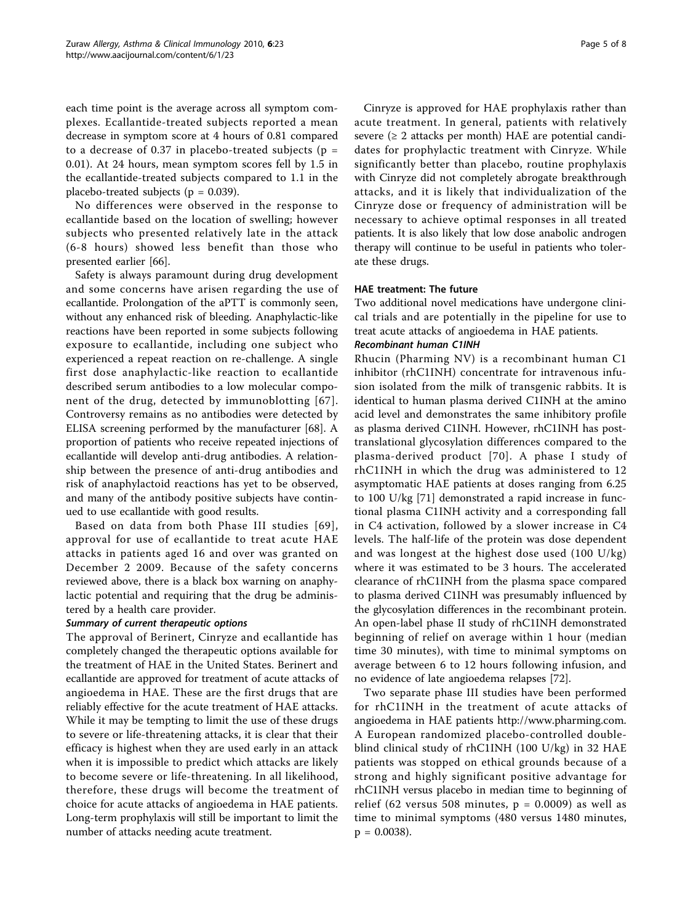each time point is the average across all symptom complexes. Ecallantide-treated subjects reported a mean decrease in symptom score at 4 hours of 0.81 compared to a decrease of 0.37 in placebo-treated subjects ( $p =$ 0.01). At 24 hours, mean symptom scores fell by 1.5 in the ecallantide-treated subjects compared to 1.1 in the placebo-treated subjects ( $p = 0.039$ ).

No differences were observed in the response to ecallantide based on the location of swelling; however subjects who presented relatively late in the attack (6-8 hours) showed less benefit than those who presented earlier [\[66](#page-7-0)].

Safety is always paramount during drug development and some concerns have arisen regarding the use of ecallantide. Prolongation of the aPTT is commonly seen, without any enhanced risk of bleeding. Anaphylactic-like reactions have been reported in some subjects following exposure to ecallantide, including one subject who experienced a repeat reaction on re-challenge. A single first dose anaphylactic-like reaction to ecallantide described serum antibodies to a low molecular component of the drug, detected by immunoblotting [[67\]](#page-7-0). Controversy remains as no antibodies were detected by ELISA screening performed by the manufacturer [\[68\]](#page-7-0). A proportion of patients who receive repeated injections of ecallantide will develop anti-drug antibodies. A relationship between the presence of anti-drug antibodies and risk of anaphylactoid reactions has yet to be observed, and many of the antibody positive subjects have continued to use ecallantide with good results.

Based on data from both Phase III studies [[69\]](#page-7-0), approval for use of ecallantide to treat acute HAE attacks in patients aged 16 and over was granted on December 2 2009. Because of the safety concerns reviewed above, there is a black box warning on anaphylactic potential and requiring that the drug be administered by a health care provider.

#### Summary of current therapeutic options

The approval of Berinert, Cinryze and ecallantide has completely changed the therapeutic options available for the treatment of HAE in the United States. Berinert and ecallantide are approved for treatment of acute attacks of angioedema in HAE. These are the first drugs that are reliably effective for the acute treatment of HAE attacks. While it may be tempting to limit the use of these drugs to severe or life-threatening attacks, it is clear that their efficacy is highest when they are used early in an attack when it is impossible to predict which attacks are likely to become severe or life-threatening. In all likelihood, therefore, these drugs will become the treatment of choice for acute attacks of angioedema in HAE patients. Long-term prophylaxis will still be important to limit the number of attacks needing acute treatment.

Cinryze is approved for HAE prophylaxis rather than acute treatment. In general, patients with relatively severe (≥ 2 attacks per month) HAE are potential candidates for prophylactic treatment with Cinryze. While significantly better than placebo, routine prophylaxis with Cinryze did not completely abrogate breakthrough attacks, and it is likely that individualization of the Cinryze dose or frequency of administration will be necessary to achieve optimal responses in all treated patients. It is also likely that low dose anabolic androgen therapy will continue to be useful in patients who tolerate these drugs.

Two additional novel medications have undergone clinical trials and are potentially in the pipeline for use to treat acute attacks of angioedema in HAE patients.

#### Recombinant human C1INH

Rhucin (Pharming NV) is a recombinant human C1 inhibitor (rhC1INH) concentrate for intravenous infusion isolated from the milk of transgenic rabbits. It is identical to human plasma derived C1INH at the amino acid level and demonstrates the same inhibitory profile as plasma derived C1INH. However, rhC1INH has posttranslational glycosylation differences compared to the plasma-derived product [[70](#page-7-0)]. A phase I study of rhC1INH in which the drug was administered to 12 asymptomatic HAE patients at doses ranging from 6.25 to 100 U/kg [\[71](#page-7-0)] demonstrated a rapid increase in functional plasma C1INH activity and a corresponding fall in C4 activation, followed by a slower increase in C4 levels. The half-life of the protein was dose dependent and was longest at the highest dose used (100 U/kg) where it was estimated to be 3 hours. The accelerated clearance of rhC1INH from the plasma space compared to plasma derived C1INH was presumably influenced by the glycosylation differences in the recombinant protein. An open-label phase II study of rhC1INH demonstrated beginning of relief on average within 1 hour (median time 30 minutes), with time to minimal symptoms on average between 6 to 12 hours following infusion, and no evidence of late angioedema relapses [[72\]](#page-7-0).

Two separate phase III studies have been performed for rhC1INH in the treatment of acute attacks of angioedema in HAE patients<http://www.pharming.com>. A European randomized placebo-controlled doubleblind clinical study of rhC1INH (100 U/kg) in 32 HAE patients was stopped on ethical grounds because of a strong and highly significant positive advantage for rhC1INH versus placebo in median time to beginning of relief (62 versus 508 minutes,  $p = 0.0009$ ) as well as time to minimal symptoms (480 versus 1480 minutes,  $p = 0.0038$ .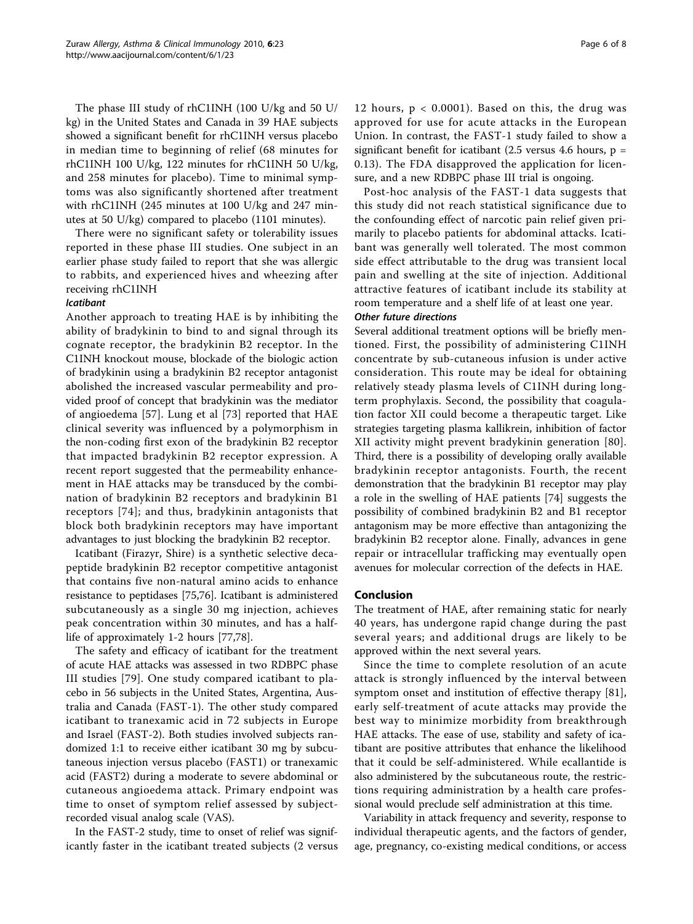The phase III study of rhC1INH (100 U/kg and 50 U/ kg) in the United States and Canada in 39 HAE subjects showed a significant benefit for rhC1INH versus placebo in median time to beginning of relief (68 minutes for rhC1INH 100 U/kg, 122 minutes for rhC1INH 50 U/kg, and 258 minutes for placebo). Time to minimal symptoms was also significantly shortened after treatment with rhC1INH (245 minutes at 100 U/kg and 247 minutes at 50 U/kg) compared to placebo (1101 minutes).

There were no significant safety or tolerability issues reported in these phase III studies. One subject in an earlier phase study failed to report that she was allergic to rabbits, and experienced hives and wheezing after receiving rhC1INH

#### Icatibant

Another approach to treating HAE is by inhibiting the ability of bradykinin to bind to and signal through its cognate receptor, the bradykinin B2 receptor. In the C1INH knockout mouse, blockade of the biologic action of bradykinin using a bradykinin B2 receptor antagonist abolished the increased vascular permeability and provided proof of concept that bradykinin was the mediator of angioedema [[57](#page-7-0)]. Lung et al [\[73](#page-7-0)] reported that HAE clinical severity was influenced by a polymorphism in the non-coding first exon of the bradykinin B2 receptor that impacted bradykinin B2 receptor expression. A recent report suggested that the permeability enhancement in HAE attacks may be transduced by the combination of bradykinin B2 receptors and bradykinin B1 receptors [[74](#page-7-0)]; and thus, bradykinin antagonists that block both bradykinin receptors may have important advantages to just blocking the bradykinin B2 receptor.

Icatibant (Firazyr, Shire) is a synthetic selective decapeptide bradykinin B2 receptor competitive antagonist that contains five non-natural amino acids to enhance resistance to peptidases [\[75,76\]](#page-7-0). Icatibant is administered subcutaneously as a single 30 mg injection, achieves peak concentration within 30 minutes, and has a halflife of approximately 1-2 hours [\[77,78](#page-7-0)].

The safety and efficacy of icatibant for the treatment of acute HAE attacks was assessed in two RDBPC phase III studies [\[79\]](#page-7-0). One study compared icatibant to placebo in 56 subjects in the United States, Argentina, Australia and Canada (FAST-1). The other study compared icatibant to tranexamic acid in 72 subjects in Europe and Israel (FAST-2). Both studies involved subjects randomized 1:1 to receive either icatibant 30 mg by subcutaneous injection versus placebo (FAST1) or tranexamic acid (FAST2) during a moderate to severe abdominal or cutaneous angioedema attack. Primary endpoint was time to onset of symptom relief assessed by subjectrecorded visual analog scale (VAS).

In the FAST-2 study, time to onset of relief was significantly faster in the icatibant treated subjects (2 versus

12 hours,  $p < 0.0001$ ). Based on this, the drug was approved for use for acute attacks in the European Union. In contrast, the FAST-1 study failed to show a significant benefit for icatibant  $(2.5 \text{ versus } 4.6 \text{ hours}, p =$ 0.13). The FDA disapproved the application for licensure, and a new RDBPC phase III trial is ongoing.

Post-hoc analysis of the FAST-1 data suggests that this study did not reach statistical significance due to the confounding effect of narcotic pain relief given primarily to placebo patients for abdominal attacks. Icatibant was generally well tolerated. The most common side effect attributable to the drug was transient local pain and swelling at the site of injection. Additional attractive features of icatibant include its stability at room temperature and a shelf life of at least one year.

# Other future directions

Several additional treatment options will be briefly mentioned. First, the possibility of administering C1INH concentrate by sub-cutaneous infusion is under active consideration. This route may be ideal for obtaining relatively steady plasma levels of C1INH during longterm prophylaxis. Second, the possibility that coagulation factor XII could become a therapeutic target. Like strategies targeting plasma kallikrein, inhibition of factor XII activity might prevent bradykinin generation [[80](#page-7-0)]. Third, there is a possibility of developing orally available bradykinin receptor antagonists. Fourth, the recent demonstration that the bradykinin B1 receptor may play a role in the swelling of HAE patients [\[74](#page-7-0)] suggests the possibility of combined bradykinin B2 and B1 receptor antagonism may be more effective than antagonizing the bradykinin B2 receptor alone. Finally, advances in gene repair or intracellular trafficking may eventually open avenues for molecular correction of the defects in HAE.

#### Conclusion

The treatment of HAE, after remaining static for nearly 40 years, has undergone rapid change during the past several years; and additional drugs are likely to be approved within the next several years.

Since the time to complete resolution of an acute attack is strongly influenced by the interval between symptom onset and institution of effective therapy [\[81](#page-7-0)], early self-treatment of acute attacks may provide the best way to minimize morbidity from breakthrough HAE attacks. The ease of use, stability and safety of icatibant are positive attributes that enhance the likelihood that it could be self-administered. While ecallantide is also administered by the subcutaneous route, the restrictions requiring administration by a health care professional would preclude self administration at this time.

Variability in attack frequency and severity, response to individual therapeutic agents, and the factors of gender, age, pregnancy, co-existing medical conditions, or access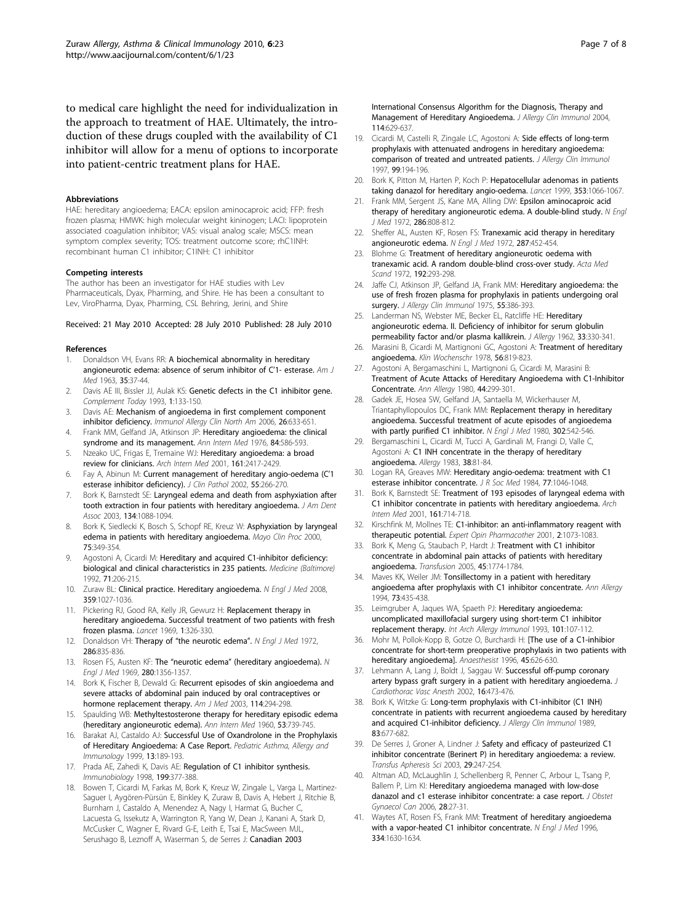<span id="page-6-0"></span>to medical care highlight the need for individualization in the approach to treatment of HAE. Ultimately, the introduction of these drugs coupled with the availability of C1 inhibitor will allow for a menu of options to incorporate into patient-centric treatment plans for HAE.

HAE: hereditary angioedema; EACA: epsilon aminocaproic acid; FFP: fresh frozen plasma; HMWK: high molecular weight kininogen; LACI: lipoprotein associated coagulation inhibitor; VAS: visual analog scale; MSCS: mean symptom complex severity; TOS: treatment outcome score; rhC1INH: recombinant human C1 inhibitor; C1INH: C1 inhibitor

The author has been an investigator for HAE studies with Lev Pharmaceuticals, Dyax, Pharming, and Shire. He has been a consultant to Lev, ViroPharma, Dyax, Pharming, CSL Behring, Jerini, and Shire

#### Received: 21 May 2010 Accepted: 28 July 2010 Published: 28 July 2010

#### References

- 1. Donaldson VH, Evans RR: [A biochemical abnormality in hereditary](http://www.ncbi.nlm.nih.gov/pubmed/14046003?dopt=Abstract) [angioneurotic edema: absence of serum inhibitor of C](http://www.ncbi.nlm.nih.gov/pubmed/14046003?dopt=Abstract)'1- esterase. Am J Med 1963, 35:37-44.
- 2. Davis AE III, Bissler JJ, Aulak KS: Genetic defects in the C1 inhibitor gene. Complement Today 1993, 1:133-150.
- 3. Davis AE: [Mechanism of angioedema in first complement component](http://www.ncbi.nlm.nih.gov/pubmed/17085282?dopt=Abstract) [inhibitor deficiency.](http://www.ncbi.nlm.nih.gov/pubmed/17085282?dopt=Abstract) Immunol Allergy Clin North Am 2006, 26:633-651.
- 4. Frank MM, Gelfand JA, Atkinson JP: Hereditary angioedema: the clinical syndrome and its management. Ann Intern Med 1976, 84:586-593.
- 5. Nzeako UC, Frigas E, Tremaine WJ: [Hereditary angioedema: a broad](http://www.ncbi.nlm.nih.gov/pubmed/11700154?dopt=Abstract) [review for clinicians.](http://www.ncbi.nlm.nih.gov/pubmed/11700154?dopt=Abstract) Arch Intern Med 2001, 161:2417-2429.
- 6. Fay A, Abinun M: [Current management of hereditary angio-oedema \(C](http://www.ncbi.nlm.nih.gov/pubmed/11919209?dopt=Abstract)'1 [esterase inhibitor deficiency\).](http://www.ncbi.nlm.nih.gov/pubmed/11919209?dopt=Abstract) J Clin Pathol 2002, 55:266-270.
- 7. Bork K, Barnstedt SE: [Laryngeal edema and death from asphyxiation after](http://www.ncbi.nlm.nih.gov/pubmed/12956349?dopt=Abstract) [tooth extraction in four patients with hereditary angioedema.](http://www.ncbi.nlm.nih.gov/pubmed/12956349?dopt=Abstract) J Am Dent Assoc 2003, 134:1088-1094.
- Bork K, Siedlecki K, Bosch S, Schopf RE, Kreuz W: [Asphyxiation by laryngeal](http://www.ncbi.nlm.nih.gov/pubmed/10761488?dopt=Abstract) [edema in patients with hereditary angioedema.](http://www.ncbi.nlm.nih.gov/pubmed/10761488?dopt=Abstract) Mayo Clin Proc 2000, 75:349-354.
- 9. Agostoni A, Cicardi M: [Hereditary and acquired C1-inhibitor deficiency:](http://www.ncbi.nlm.nih.gov/pubmed/1518394?dopt=Abstract) [biological and clinical characteristics in 235 patients.](http://www.ncbi.nlm.nih.gov/pubmed/1518394?dopt=Abstract) Medicine (Baltimore) 1992, 71:206-215.
- 10. Zuraw BL: [Clinical practice. Hereditary angioedema.](http://www.ncbi.nlm.nih.gov/pubmed/18768946?dopt=Abstract) N Engl J Med 2008, 359:1027-1036.
- 11. Pickering RJ, Good RA, Kelly JR, Gewurz H: [Replacement therapy in](http://www.ncbi.nlm.nih.gov/pubmed/4179348?dopt=Abstract) [hereditary angioedema. Successful treatment of two patients with fresh](http://www.ncbi.nlm.nih.gov/pubmed/4179348?dopt=Abstract) [frozen plasma.](http://www.ncbi.nlm.nih.gov/pubmed/4179348?dopt=Abstract) Lancet 1969, 1:326-330.
- 12. Donaldson VH: Therapy of "[the neurotic edema](http://www.ncbi.nlm.nih.gov/pubmed/5011793?dopt=Abstract)". N Engl J Med 1972, 286:835-836.
- 13. Rosen FS, Austen KF: The "neurotic edema" [\(hereditary angioedema\).](http://www.ncbi.nlm.nih.gov/pubmed/4890565?dopt=Abstract) N Engl J Med 1969, 280:1356-1357.
- 14. Bork K, Fischer B, Dewald G: [Recurrent episodes of skin angioedema and](http://www.ncbi.nlm.nih.gov/pubmed/12681457?dopt=Abstract) [severe attacks of abdominal pain induced by oral contraceptives or](http://www.ncbi.nlm.nih.gov/pubmed/12681457?dopt=Abstract) [hormone replacement therapy.](http://www.ncbi.nlm.nih.gov/pubmed/12681457?dopt=Abstract) Am J Med 2003, 114:294-298.
- 15. Spaulding WB: Methyltestosterone therapy for hereditary episodic edema (hereditary angioneurotic edema). Ann Intern Med 1960, 53:739-745.
- 16. Barakat AJ, Castaldo AJ: Successful Use of Oxandrolone in the Prophylaxis of Hereditary Angioedema: A Case Report. Pediatric Asthma, Allergy and Immunology 1999, 13:189-193.
- 17. Prada AE, Zahedi K, Davis AE: [Regulation of C1 inhibitor synthesis.](http://www.ncbi.nlm.nih.gov/pubmed/9777421?dopt=Abstract) Immunobiology 1998, 199:377-388.
- 18. Bowen T, Cicardi M, Farkas M, Bork K, Kreuz W, Zingale L, Varga L, Martinez-Saguer I, Aygören-Pürsün E, Binkley K, Zuraw B, Davis A, Hebert J, Ritchie B, Burnham J, Castaldo A, Menendez A, Nagy I, Harmat G, Bucher C, Lacuesta G, Issekutz A, Warrington R, Yang W, Dean J, Kanani A, Stark D, McCusker C, Wagner E, Rivard G-E, Leith E, Tsai E, MacSween MJL, Serushago B, Leznoff A, Waserman S, de Serres J: [Canadian 2003](http://www.ncbi.nlm.nih.gov/pubmed/15356569?dopt=Abstract)

[International Consensus Algorithm for the Diagnosis, Therapy and](http://www.ncbi.nlm.nih.gov/pubmed/15356569?dopt=Abstract) [Management of Hereditary Angioedema.](http://www.ncbi.nlm.nih.gov/pubmed/15356569?dopt=Abstract) J Allergy Clin Immunol 2004, 114:629-637.

- 19. Cicardi M, Castelli R, Zingale LC, Agostoni A: [Side effects of long-term](http://www.ncbi.nlm.nih.gov/pubmed/9042044?dopt=Abstract) [prophylaxis with attenuated androgens in hereditary angioedema:](http://www.ncbi.nlm.nih.gov/pubmed/9042044?dopt=Abstract) [comparison of treated and untreated patients.](http://www.ncbi.nlm.nih.gov/pubmed/9042044?dopt=Abstract) J Allergy Clin Immunol 1997, 99:194-196.
- 20. Bork K, Pitton M, Harten P, Koch P: [Hepatocellular adenomas in patients](http://www.ncbi.nlm.nih.gov/pubmed/10199359?dopt=Abstract) [taking danazol for hereditary angio-oedema.](http://www.ncbi.nlm.nih.gov/pubmed/10199359?dopt=Abstract) Lancet 1999, 353:1066-1067.
- 21. Frank MM, Sergent JS, Kane MA, Alling DW: [Epsilon aminocaproic acid](http://www.ncbi.nlm.nih.gov/pubmed/4551861?dopt=Abstract) [therapy of hereditary angioneurotic edema. A double-blind study.](http://www.ncbi.nlm.nih.gov/pubmed/4551861?dopt=Abstract) N Engl J Med 1972, 286:808-812.
- 22. Sheffer AL, Austen KF, Rosen FS: [Tranexamic acid therapy in hereditary](http://www.ncbi.nlm.nih.gov/pubmed/4558045?dopt=Abstract) [angioneurotic edema.](http://www.ncbi.nlm.nih.gov/pubmed/4558045?dopt=Abstract) N Engl J Med 1972, 287:452-454.
- 23. Blohme G: [Treatment of hereditary angioneurotic oedema with](http://www.ncbi.nlm.nih.gov/pubmed/4562897?dopt=Abstract) [tranexamic acid. A random double-blind cross-over study.](http://www.ncbi.nlm.nih.gov/pubmed/4562897?dopt=Abstract) Acta Med Scand 1972, 192:293-298.
- 24. Jaffe CJ, Atkinson JP, Gelfand JA, Frank MM: [Hereditary angioedema: the](http://www.ncbi.nlm.nih.gov/pubmed/1138015?dopt=Abstract) [use of fresh frozen plasma for prophylaxis in patients undergoing oral](http://www.ncbi.nlm.nih.gov/pubmed/1138015?dopt=Abstract) [surgery.](http://www.ncbi.nlm.nih.gov/pubmed/1138015?dopt=Abstract) J Allergy Clin Immunol 1975, 55:386-393.
- 25. Landerman NS, Webster ME, Becker EL, Ratcliffe HE: [Hereditary](http://www.ncbi.nlm.nih.gov/pubmed/14461960?dopt=Abstract) [angioneurotic edema. II. Deficiency of inhibitor for serum globulin](http://www.ncbi.nlm.nih.gov/pubmed/14461960?dopt=Abstract) [permeability factor and/or plasma kallikrein.](http://www.ncbi.nlm.nih.gov/pubmed/14461960?dopt=Abstract) J Allergy 1962, 33:330-341.
- 26. Marasini B, Cicardi M, Martignoni GC, Agostoni A: [Treatment of hereditary](http://www.ncbi.nlm.nih.gov/pubmed/308574?dopt=Abstract) [angioedema.](http://www.ncbi.nlm.nih.gov/pubmed/308574?dopt=Abstract) Klin Wochenschr 1978, 56:819-823.
- 27. Agostoni A, Bergamaschini L, Martignoni G, Cicardi M, Marasini B: [Treatment of Acute Attacks of Hereditary Angioedema with C1-Inhibitor](http://www.ncbi.nlm.nih.gov/pubmed/6155097?dopt=Abstract) [Concentrate.](http://www.ncbi.nlm.nih.gov/pubmed/6155097?dopt=Abstract) Ann Allergy 1980, 44:299-301.
- 28. Gadek JE, Hosea SW, Gelfand JA, Santaella M, Wickerhauser M, Triantaphyllopoulos DC, Frank MM: [Replacement therapy in hereditary](http://www.ncbi.nlm.nih.gov/pubmed/7351888?dopt=Abstract) [angioedema. Successful treatment of acute episodes of angioedema](http://www.ncbi.nlm.nih.gov/pubmed/7351888?dopt=Abstract) [with partly purified C1 inhibitor.](http://www.ncbi.nlm.nih.gov/pubmed/7351888?dopt=Abstract) N Engl J Med 1980, 302:542-546.
- 29. Bergamaschini L, Cicardi M, Tucci A, Gardinali M, Frangi D, Valle C, Agostoni A: [C1 INH concentrate in the therapy of hereditary](http://www.ncbi.nlm.nih.gov/pubmed/6846740?dopt=Abstract) [angioedema.](http://www.ncbi.nlm.nih.gov/pubmed/6846740?dopt=Abstract) Allergy 1983, 38:81-84.
- 30. Logan RA, Greaves MW: [Hereditary angio-oedema: treatment with C1](http://www.ncbi.nlm.nih.gov/pubmed/6512809?dopt=Abstract) [esterase inhibitor concentrate.](http://www.ncbi.nlm.nih.gov/pubmed/6512809?dopt=Abstract) J R Soc Med 1984, 77:1046-1048.
- 31. Bork K, Barnstedt SE: [Treatment of 193 episodes of laryngeal edema with](http://www.ncbi.nlm.nih.gov/pubmed/11231704?dopt=Abstract) [C1 inhibitor concentrate in patients with hereditary angioedema.](http://www.ncbi.nlm.nih.gov/pubmed/11231704?dopt=Abstract) Arch Intern Med 2001, 161:714-718.
- 32. Kirschfink M, Mollnes TE: [C1-inhibitor: an anti-inflammatory reagent with](http://www.ncbi.nlm.nih.gov/pubmed/11583058?dopt=Abstract) [therapeutic potential.](http://www.ncbi.nlm.nih.gov/pubmed/11583058?dopt=Abstract) Expert Opin Pharmacother 2001, 2:1073-1083.
- 33. Bork K, Meng G, Staubach P, Hardt J: [Treatment with C1 inhibitor](http://www.ncbi.nlm.nih.gov/pubmed/16271103?dopt=Abstract) [concentrate in abdominal pain attacks of patients with hereditary](http://www.ncbi.nlm.nih.gov/pubmed/16271103?dopt=Abstract) [angioedema.](http://www.ncbi.nlm.nih.gov/pubmed/16271103?dopt=Abstract) Transfusion 2005, 45:1774-1784.
- 34. Maves KK, Weiler JM: [Tonsillectomy in a patient with hereditary](http://www.ncbi.nlm.nih.gov/pubmed/7978537?dopt=Abstract) [angioedema after prophylaxis with C1 inhibitor concentrate.](http://www.ncbi.nlm.nih.gov/pubmed/7978537?dopt=Abstract) Ann Allergy 1994, 73:435-438.
- 35. Leimgruber A, Jaques WA, Spaeth PJ: [Hereditary angioedema:](http://www.ncbi.nlm.nih.gov/pubmed/8499768?dopt=Abstract) [uncomplicated maxillofacial surgery using short-term C1 inhibitor](http://www.ncbi.nlm.nih.gov/pubmed/8499768?dopt=Abstract) [replacement therapy.](http://www.ncbi.nlm.nih.gov/pubmed/8499768?dopt=Abstract) Int Arch Allergy Immunol 1993, 101:107-112.
- 36. Mohr M, Pollok-Kopp B, Gotze O, Burchardi H: [\[The use of a C1-inhibior](http://www.ncbi.nlm.nih.gov/pubmed/8765863?dopt=Abstract) [concentrate for short-term preoperative prophylaxis in two patients with](http://www.ncbi.nlm.nih.gov/pubmed/8765863?dopt=Abstract) [hereditary angioedema\].](http://www.ncbi.nlm.nih.gov/pubmed/8765863?dopt=Abstract) Anaesthesist 1996, 45:626-630.
- 37. Lehmann A, Lang J, Boldt J, Saggau W: [Successful off-pump coronary](http://www.ncbi.nlm.nih.gov/pubmed/12154430?dopt=Abstract) [artery bypass graft surgery in a patient with hereditary angioedema.](http://www.ncbi.nlm.nih.gov/pubmed/12154430?dopt=Abstract) J Cardiothorac Vasc Anesth 2002, 16:473-476.
- Bork K, Witzke G: [Long-term prophylaxis with C1-inhibitor \(C1 INH\)](http://www.ncbi.nlm.nih.gov/pubmed/2926086?dopt=Abstract) [concentrate in patients with recurrent angioedema caused by hereditary](http://www.ncbi.nlm.nih.gov/pubmed/2926086?dopt=Abstract) [and acquired C1-inhibitor deficiency.](http://www.ncbi.nlm.nih.gov/pubmed/2926086?dopt=Abstract) J Allergy Clin Immunol 1989, 83:677-682.
- 39. De Serres J, Groner A, Lindner J: Safety and efficacy of pasteurized C1 inhibitor concentrate (Berinert P) in hereditary angioedema: a review. Transfus Apheresis Sci 2003, 29:247-254.
- 40. Altman AD, McLaughlin J, Schellenberg R, Penner C, Arbour L, Tsang P, Ballem P, Lim KI: [Hereditary angioedema managed with low-dose](http://www.ncbi.nlm.nih.gov/pubmed/16533452?dopt=Abstract) [danazol and c1 esterase inhibitor concentrate: a case report.](http://www.ncbi.nlm.nih.gov/pubmed/16533452?dopt=Abstract) J Obstet Gynaecol Can 2006, 28:27-31.
- 41. Waytes AT, Rosen FS, Frank MM: [Treatment of hereditary angioedema](http://www.ncbi.nlm.nih.gov/pubmed/8628358?dopt=Abstract) [with a vapor-heated C1 inhibitor concentrate.](http://www.ncbi.nlm.nih.gov/pubmed/8628358?dopt=Abstract) N Engl J Med 1996, 334:1630-1634.